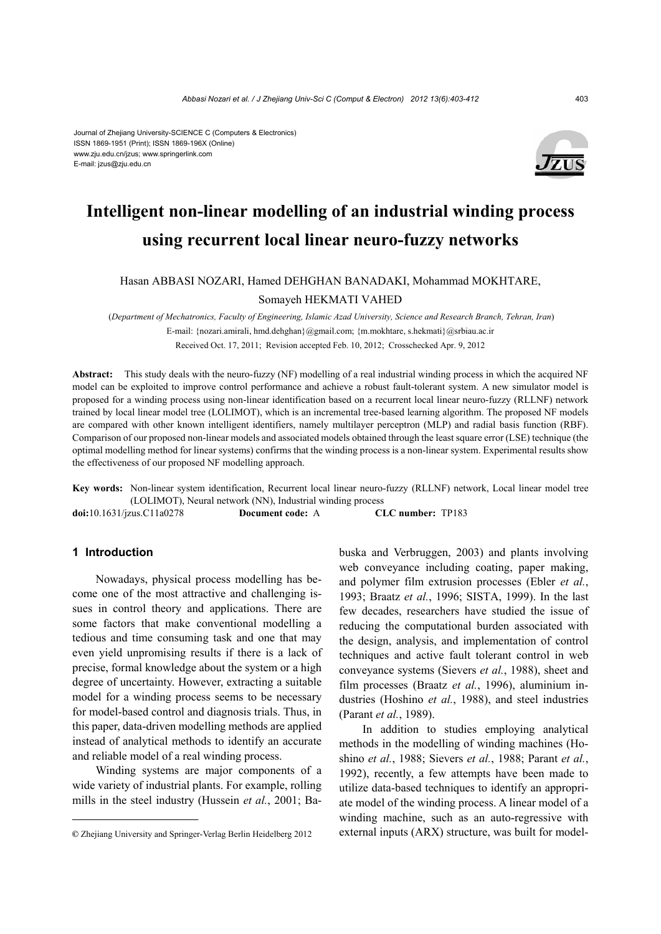#### Journal of Zhejiang University-SCIENCE C (Computers & Electronics) ISSN 1869-1951 (Print); ISSN 1869-196X (Online) www.zju.edu.cn/jzus; www.springerlink.com E-mail: jzus@zju.edu.cn



# **Intelligent non-linear modelling of an industrial winding process using recurrent local linear neuro-fuzzy networks**

#### Hasan ABBASI NOZARI, Hamed DEHGHAN BANADAKI, Mohammad MOKHTARE,

#### Somayeh HEKMATI VAHED

 (*Department of Mechatronics, Faculty of Engineering, Islamic Azad University, Science and Research Branch, Tehran, Iran*) E-mail: {nozari.amirali, hmd.dehghan}@gmail.com; {m.mokhtare, s.hekmati}@srbiau.ac.ir

Received Oct. 17, 2011; Revision accepted Feb. 10, 2012; Crosschecked Apr. 9, 2012

**Abstract:** This study deals with the neuro-fuzzy (NF) modelling of a real industrial winding process in which the acquired NF model can be exploited to improve control performance and achieve a robust fault-tolerant system. A new simulator model is proposed for a winding process using non-linear identification based on a recurrent local linear neuro-fuzzy (RLLNF) network trained by local linear model tree (LOLIMOT), which is an incremental tree-based learning algorithm. The proposed NF models are compared with other known intelligent identifiers, namely multilayer perceptron (MLP) and radial basis function (RBF). Comparison of our proposed non-linear models and associated models obtained through the least square error (LSE) technique (the optimal modelling method for linear systems) confirms that the winding process is a non-linear system. Experimental results show the effectiveness of our proposed NF modelling approach.

**Key words:** Non-linear system identification, Recurrent local linear neuro-fuzzy (RLLNF) network, Local linear model tree (LOLIMOT), Neural network (NN), Industrial winding process

**doi:**10.1631/jzus.C11a0278 **Document code:** A **CLC number:** TP183

## **1 Introduction**

Nowadays, physical process modelling has become one of the most attractive and challenging issues in control theory and applications. There are some factors that make conventional modelling a tedious and time consuming task and one that may even yield unpromising results if there is a lack of precise, formal knowledge about the system or a high degree of uncertainty. However, extracting a suitable model for a winding process seems to be necessary for model-based control and diagnosis trials. Thus, in this paper, data-driven modelling methods are applied instead of analytical methods to identify an accurate and reliable model of a real winding process.

Winding systems are major components of a wide variety of industrial plants. For example, rolling mills in the steel industry (Hussein *et al.*, 2001; Babuska and Verbruggen, 2003) and plants involving web conveyance including coating, paper making, and polymer film extrusion processes (Ebler *et al.*, 1993; Braatz *et al.*, 1996; SISTA, 1999). In the last few decades, researchers have studied the issue of reducing the computational burden associated with the design, analysis, and implementation of control techniques and active fault tolerant control in web conveyance systems (Sievers *et al.*, 1988), sheet and film processes (Braatz *et al.*, 1996), aluminium industries (Hoshino *et al.*, 1988), and steel industries (Parant *et al.*, 1989).

In addition to studies employing analytical methods in the modelling of winding machines (Hoshino *et al.*, 1988; Sievers *et al.*, 1988; Parant *et al.*, 1992), recently, a few attempts have been made to utilize data-based techniques to identify an appropriate model of the winding process. A linear model of a winding machine, such as an auto-regressive with external inputs (ARX) structure, was built for model-

**<sup>©</sup>** Zhejiang University and Springer-Verlag Berlin Heidelberg 2012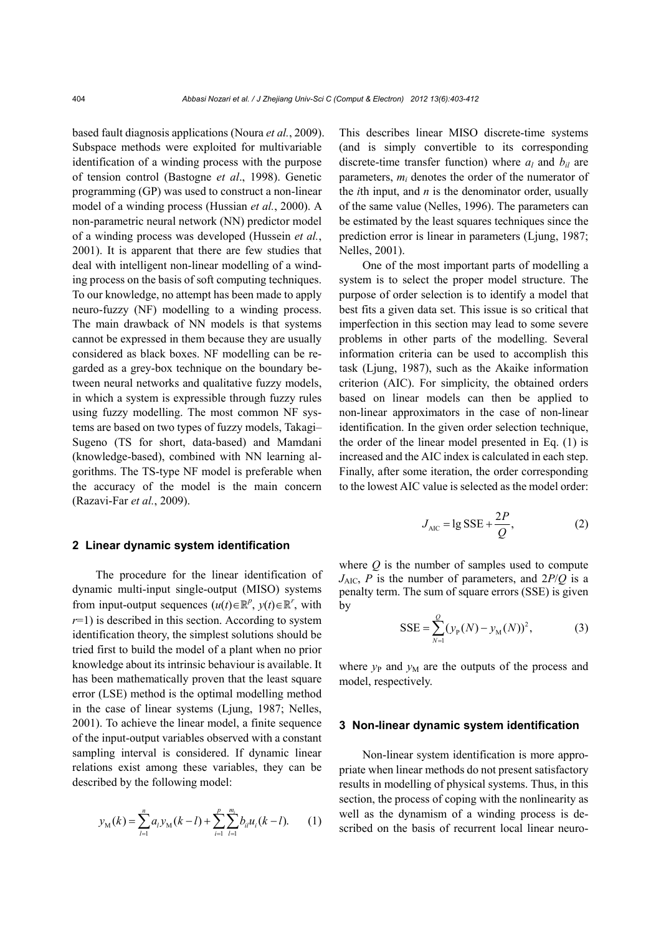based fault diagnosis applications (Noura *et al.*, 2009). Subspace methods were exploited for multivariable identification of a winding process with the purpose of tension control (Bastogne *et al*., 1998). Genetic programming (GP) was used to construct a non-linear model of a winding process (Hussian *et al.*, 2000). A non-parametric neural network (NN) predictor model of a winding process was developed (Hussein *et al.*, 2001). It is apparent that there are few studies that deal with intelligent non-linear modelling of a winding process on the basis of soft computing techniques. To our knowledge, no attempt has been made to apply neuro-fuzzy (NF) modelling to a winding process. The main drawback of NN models is that systems cannot be expressed in them because they are usually considered as black boxes. NF modelling can be regarded as a grey-box technique on the boundary between neural networks and qualitative fuzzy models, in which a system is expressible through fuzzy rules using fuzzy modelling. The most common NF systems are based on two types of fuzzy models, Takagi– Sugeno (TS for short, data-based) and Mamdani (knowledge-based), combined with NN learning algorithms. The TS-type NF model is preferable when the accuracy of the model is the main concern (Razavi-Far *et al.*, 2009).

### **2 Linear dynamic system identification**

The procedure for the linear identification of dynamic multi-input single-output (MISO) systems from input-output sequences  $(u(t) \in \mathbb{R}^p, y(t) \in \mathbb{R}^r$ , with  $r=1$ ) is described in this section. According to system identification theory, the simplest solutions should be tried first to build the model of a plant when no prior knowledge about its intrinsic behaviour is available. It has been mathematically proven that the least square error (LSE) method is the optimal modelling method in the case of linear systems (Ljung, 1987; Nelles, 2001). To achieve the linear model, a finite sequence of the input-output variables observed with a constant sampling interval is considered. If dynamic linear relations exist among these variables, they can be described by the following model:

$$
y_{\rm M}(k) = \sum_{l=1}^{n} a_{l} y_{\rm M}(k-l) + \sum_{i=1}^{p} \sum_{l=1}^{m_{i}} b_{il} u_{i}(k-l). \tag{1}
$$

This describes linear MISO discrete-time systems (and is simply convertible to its corresponding discrete-time transfer function) where  $a_l$  and  $b_{il}$  are parameters, *mi* denotes the order of the numerator of the *i*th input, and *n* is the denominator order, usually of the same value (Nelles, 1996). The parameters can be estimated by the least squares techniques since the prediction error is linear in parameters (Ljung, 1987; Nelles, 2001).

One of the most important parts of modelling a system is to select the proper model structure. The purpose of order selection is to identify a model that best fits a given data set. This issue is so critical that imperfection in this section may lead to some severe problems in other parts of the modelling. Several information criteria can be used to accomplish this task (Ljung, 1987), such as the Akaike information criterion (AIC). For simplicity, the obtained orders based on linear models can then be applied to non-linear approximators in the case of non-linear identification. In the given order selection technique, the order of the linear model presented in Eq. (1) is increased and the AIC index is calculated in each step. Finally, after some iteration, the order corresponding to the lowest AIC value is selected as the model order:

$$
J_{\text{AIC}} = \lg \text{SSE} + \frac{2P}{Q},\tag{2}
$$

where *Q* is the number of samples used to compute  $J_{AIC}$ , *P* is the number of parameters, and  $2P/Q$  is a penalty term. The sum of square errors (SSE) is given by

$$
SSE = \sum_{N=1}^{Q} (y_{P}(N) - y_{M}(N))^{2},
$$
 (3)

where  $y_P$  and  $y_M$  are the outputs of the process and model, respectively.

#### **3 Non-linear dynamic system identification**

Non-linear system identification is more appropriate when linear methods do not present satisfactory results in modelling of physical systems. Thus, in this section, the process of coping with the nonlinearity as well as the dynamism of a winding process is described on the basis of recurrent local linear neuro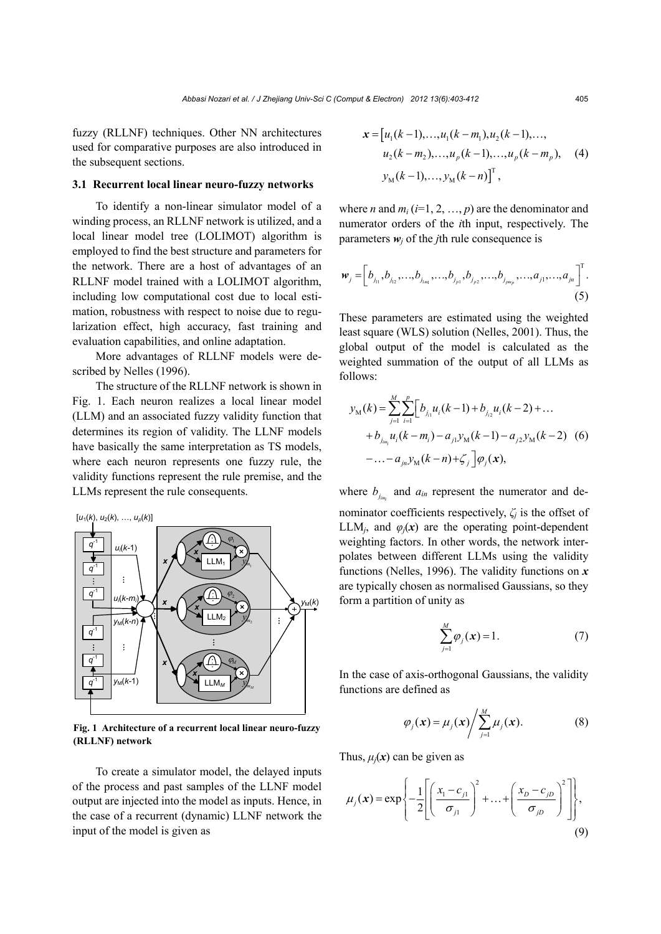fuzzy (RLLNF) techniques. Other NN architectures used for comparative purposes are also introduced in the subsequent sections.

### **3.1 Recurrent local linear neuro-fuzzy networks**

To identify a non-linear simulator model of a winding process, an RLLNF network is utilized, and a local linear model tree (LOLIMOT) algorithm is employed to find the best structure and parameters for the network. There are a host of advantages of an RLLNF model trained with a LOLIMOT algorithm, including low computational cost due to local estimation, robustness with respect to noise due to regularization effect, high accuracy, fast training and evaluation capabilities, and online adaptation.

More advantages of RLLNF models were described by Nelles (1996).

The structure of the RLLNF network is shown in Fig. 1. Each neuron realizes a local linear model (LLM) and an associated fuzzy validity function that determines its region of validity. The LLNF models have basically the same interpretation as TS models, where each neuron represents one fuzzy rule, the validity functions represent the rule premise, and the LLMs represent the rule consequents.



**Fig. 1 Architecture of a recurrent local linear neuro-fuzzy (RLLNF) network**

To create a simulator model, the delayed inputs of the process and past samples of the LLNF model output are injected into the model as inputs. Hence, in the case of a recurrent (dynamic) LLNF network the input of the model is given as

$$
\mathbf{x} = [u_1(k-1),...,u_1(k-m_1),u_2(k-1),...,
$$
  
\n
$$
u_2(k-m_2),...,u_p(k-1),...,u_p(k-m_p),
$$
 (4)  
\n
$$
y_M(k-1),...,y_M(k-n)]^T,
$$

where *n* and  $m_i$  ( $i=1, 2, ..., p$ ) are the denominator and numerator orders of the *i*th input, respectively. The parameters  $w_i$  of the *j*th rule consequence is

$$
\boldsymbol{w}_{j} = \left[ b_{j_{11}}, b_{j_{12}}, \ldots, b_{j_{1m_{1}}}, \ldots, b_{j_{p1}}, b_{j_{p2}}, \ldots, b_{j_{pm_{p}}}, \ldots, a_{j1}, \ldots, a_{jn} \right]^{T}.
$$
\n(5)

These parameters are estimated using the weighted least square (WLS) solution (Nelles, 2001). Thus, the global output of the model is calculated as the weighted summation of the output of all LLMs as follows:

$$
y_{\rm M}(k) = \sum_{j=1}^{M} \sum_{i=1}^{p} \Big[ b_{j_{i1}} u_i(k-1) + b_{j_{i2}} u_i(k-2) + \dots + b_{j_{im_i}} u_i(k-m_i) - a_{j1} y_{\rm M}(k-1) - a_{j2} y_{\rm M}(k-2) \quad (6) - \dots - a_{jn} y_{\rm M}(k-n) + \zeta_j \Big] \varphi_j(\mathbf{x}),
$$

where  $b_{i_m}$  and  $a_{in}$  represent the numerator and denominator coefficients respectively,  $\zeta$  is the offset of

LLM<sub>*i*</sub>, and  $\varphi_i(x)$  are the operating point-dependent weighting factors. In other words, the network interpolates between different LLMs using the validity functions (Nelles, 1996). The validity functions on *x* are typically chosen as normalised Gaussians, so they form a partition of unity as

$$
\sum_{j=1}^{M} \varphi_j(\mathbf{x}) = 1.
$$
 (7)

In the case of axis-orthogonal Gaussians, the validity functions are defined as

$$
\varphi_j(\mathbf{x}) = \mu_j(\mathbf{x}) / \sum_{j=1}^M \mu_j(\mathbf{x}). \tag{8}
$$

Thus,  $\mu_i(x)$  can be given as

$$
\mu_j(\mathbf{x}) = \exp\left\{-\frac{1}{2}\left[\left(\frac{x_1 - c_{j1}}{\sigma_{j1}}\right)^2 + \dots + \left(\frac{x_D - c_{jD}}{\sigma_{jD}}\right)^2\right]\right\},\tag{9}
$$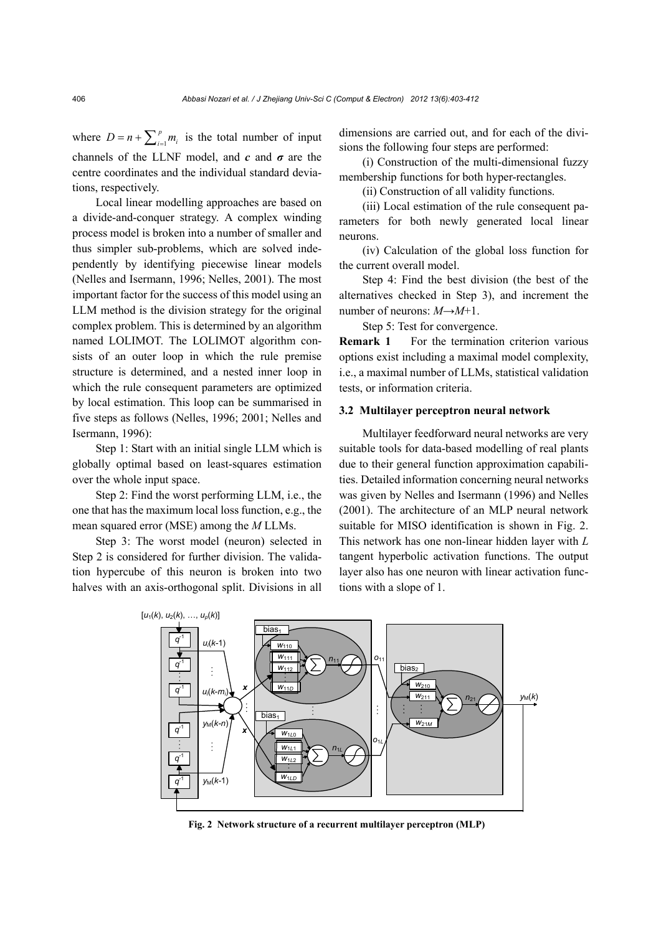where  $D = n + \sum_{i=1}^{p} m_i$  is the total number of input channels of the LLNF model, and  $c$  and  $\sigma$  are the centre coordinates and the individual standard deviations, respectively.

Local linear modelling approaches are based on a divide-and-conquer strategy. A complex winding process model is broken into a number of smaller and thus simpler sub-problems, which are solved independently by identifying piecewise linear models (Nelles and Isermann, 1996; Nelles, 2001). The most important factor for the success of this model using an LLM method is the division strategy for the original complex problem. This is determined by an algorithm named LOLIMOT. The LOLIMOT algorithm consists of an outer loop in which the rule premise structure is determined, and a nested inner loop in which the rule consequent parameters are optimized by local estimation. This loop can be summarised in five steps as follows (Nelles, 1996; 2001; Nelles and Isermann, 1996):

Step 1: Start with an initial single LLM which is globally optimal based on least-squares estimation over the whole input space.

Step 2: Find the worst performing LLM, i.e., the one that has the maximum local loss function, e.g., the mean squared error (MSE) among the *M* LLMs.

Step 3: The worst model (neuron) selected in Step 2 is considered for further division. The validation hypercube of this neuron is broken into two halves with an axis-orthogonal split. Divisions in all

dimensions are carried out, and for each of the divisions the following four steps are performed:

(i) Construction of the multi-dimensional fuzzy membership functions for both hyper-rectangles.

(ii) Construction of all validity functions.

(iii) Local estimation of the rule consequent parameters for both newly generated local linear neurons.

(iv) Calculation of the global loss function for the current overall model.

Step 4: Find the best division (the best of the alternatives checked in Step 3), and increment the number of neurons: *M*→*M*+1.

Step 5: Test for convergence.

**Remark 1** For the termination criterion various options exist including a maximal model complexity, i.e., a maximal number of LLMs, statistical validation tests, or information criteria.

#### **3.2 Multilayer perceptron neural network**

Multilayer feedforward neural networks are very suitable tools for data-based modelling of real plants due to their general function approximation capabilities. Detailed information concerning neural networks was given by Nelles and Isermann (1996) and Nelles (2001). The architecture of an MLP neural network suitable for MISO identification is shown in Fig. 2. This network has one non-linear hidden layer with *L*  tangent hyperbolic activation functions. The output layer also has one neuron with linear activation functions with a slope of 1.



**Fig. 2 Network structure of a recurrent multilayer perceptron (MLP)**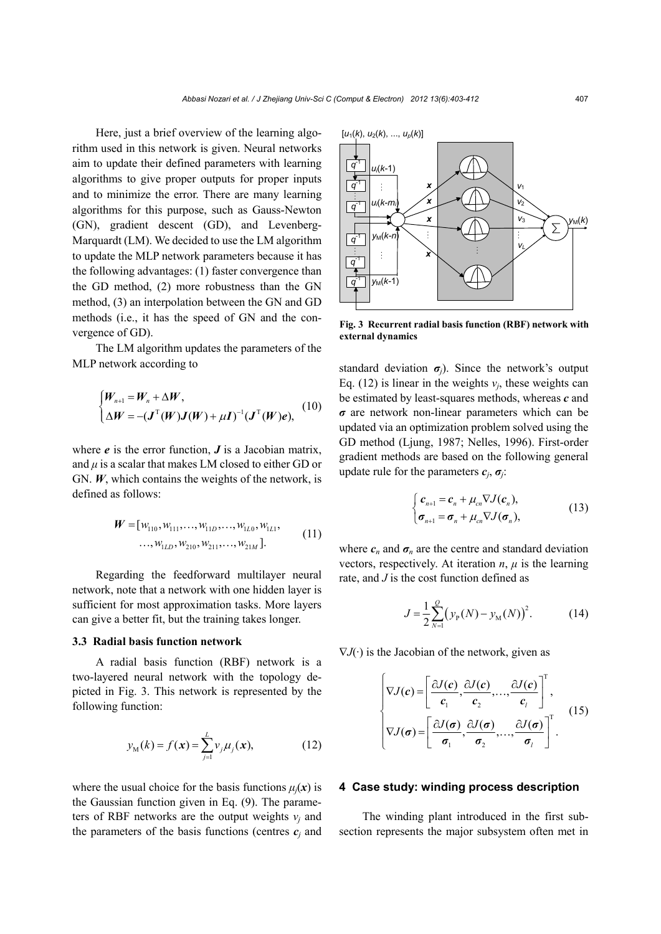Here, just a brief overview of the learning algorithm used in this network is given. Neural networks aim to update their defined parameters with learning algorithms to give proper outputs for proper inputs and to minimize the error. There are many learning algorithms for this purpose, such as Gauss-Newton (GN), gradient descent (GD), and Levenberg-Marquardt (LM). We decided to use the LM algorithm to update the MLP network parameters because it has the following advantages: (1) faster convergence than the GD method, (2) more robustness than the GN method, (3) an interpolation between the GN and GD methods (i.e., it has the speed of GN and the convergence of GD).

The LM algorithm updates the parameters of the MLP network according to

$$
\begin{cases} W_{n+1} = W_n + \Delta W, \\ \Delta W = -(J^{\mathrm{T}}(W)J(W) + \mu I)^{-1}(J^{\mathrm{T}}(W)e), \end{cases} (10)
$$

where  $e$  is the error function,  $J$  is a Jacobian matrix, and  $\mu$  is a scalar that makes LM closed to either GD or GN. *W*, which contains the weights of the network, is defined as follows:

$$
\boldsymbol{W} = [w_{110}, w_{111}, \dots, w_{11D}, \dots, w_{1L0}, w_{1L1}, \dots, w_{1LD}, w_{210}, w_{211}, \dots, w_{21M}].
$$
\n(11)

Regarding the feedforward multilayer neural network, note that a network with one hidden layer is sufficient for most approximation tasks. More layers can give a better fit, but the training takes longer.

#### **3.3 Radial basis function network**

A radial basis function (RBF) network is a two-layered neural network with the topology depicted in Fig. 3. This network is represented by the following function:

$$
y_{\rm M}(k) = f(\mathbf{x}) = \sum_{j=1}^{L} v_j \mu_j(\mathbf{x}), \qquad (12)
$$

where the usual choice for the basis functions  $\mu_i(x)$  is the Gaussian function given in Eq. (9). The parameters of RBF networks are the output weights  $v_i$  and the parameters of the basis functions (centres  $c_i$  and

 $[u_1(k), u_2(k), ..., u_p(k)]$ *q*-1 *ui*(*k-*1) *q*-1  $\frac{1}{2}$ *x v*1 *ui*(*k-mi*)*x*  $v_2$ *q*-1 *x v*3 *y*M(*k*)  $\sum$ *y*M(*k-n*)  $\ddot{\cdot}$ *q*-1 *vL x q*-1 *q*-1 *y*M(*k-*1)

**Fig. 3 Recurrent radial basis function (RBF) network with external dynamics** 

standard deviation  $\sigma_j$ ). Since the network's output Eq. (12) is linear in the weights  $v_i$ , these weights can be estimated by least-squares methods, whereas *c* and *σ* are network non-linear parameters which can be updated via an optimization problem solved using the GD method (Ljung, 1987; Nelles, 1996). First-order gradient methods are based on the following general update rule for the parameters  $c_j$ ,  $\sigma_j$ .

$$
\begin{cases} \n\boldsymbol{c}_{n+1} = \boldsymbol{c}_n + \mu_{cn} \nabla J(\boldsymbol{c}_n), \\ \n\boldsymbol{\sigma}_{n+1} = \boldsymbol{\sigma}_n + \mu_{cn} \nabla J(\boldsymbol{\sigma}_n), \n\end{cases} \n\tag{13}
$$

where  $c_n$  and  $\sigma_n$  are the centre and standard deviation vectors, respectively. At iteration  $n$ ,  $\mu$  is the learning rate, and *J* is the cost function defined as

$$
J = \frac{1}{2} \sum_{N=1}^{Q} (y_{P}(N) - y_{M}(N))^{2}.
$$
 (14)

 $\nabla J(\cdot)$  is the Jacobian of the network, given as

$$
\begin{cases}\n\nabla J(c) = \left[\frac{\partial J(c)}{c_1}, \frac{\partial J(c)}{c_2}, \dots, \frac{\partial J(c)}{c_l}\right]^T, \\
\nabla J(\sigma) = \left[\frac{\partial J(\sigma)}{\sigma_1}, \frac{\partial J(\sigma)}{\sigma_2}, \dots, \frac{\partial J(\sigma)}{\sigma_l}\right]^T.\n\end{cases} (15)
$$

#### **4 Case study: winding process description**

The winding plant introduced in the first subsection represents the major subsystem often met in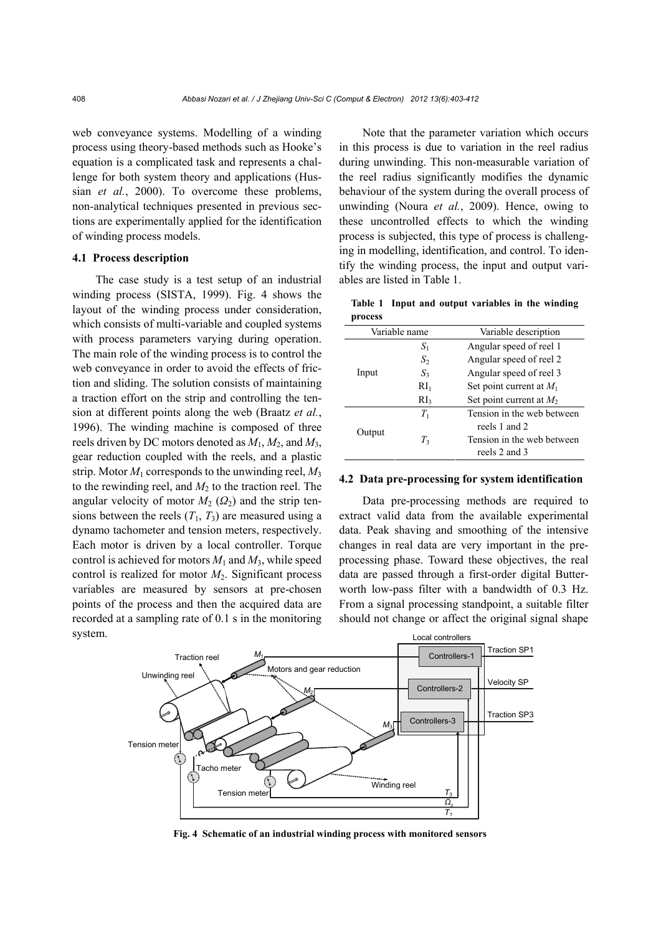web conveyance systems. Modelling of a winding process using theory-based methods such as Hooke's equation is a complicated task and represents a challenge for both system theory and applications (Hussian *et al.*, 2000). To overcome these problems, non-analytical techniques presented in previous sections are experimentally applied for the identification of winding process models.

#### **4.1 Process description**

The case study is a test setup of an industrial winding process (SISTA, 1999). Fig. 4 shows the layout of the winding process under consideration, which consists of multi-variable and coupled systems with process parameters varying during operation. The main role of the winding process is to control the web conveyance in order to avoid the effects of friction and sliding. The solution consists of maintaining a traction effort on the strip and controlling the tension at different points along the web (Braatz *et al.*, 1996). The winding machine is composed of three reels driven by DC motors denoted as *M*1, *M*2, and *M*3, gear reduction coupled with the reels, and a plastic strip. Motor  $M_1$  corresponds to the unwinding reel,  $M_3$ to the rewinding reel, and  $M_2$  to the traction reel. The angular velocity of motor  $M_2$  ( $\Omega_2$ ) and the strip tensions between the reels  $(T_1, T_3)$  are measured using a dynamo tachometer and tension meters, respectively. Each motor is driven by a local controller. Torque control is achieved for motors  $M_1$  and  $M_3$ , while speed control is realized for motor *M*2. Significant process variables are measured by sensors at pre-chosen points of the process and then the acquired data are recorded at a sampling rate of 0.1 s in the monitoring system.

Note that the parameter variation which occurs in this process is due to variation in the reel radius during unwinding. This non-measurable variation of the reel radius significantly modifies the dynamic behaviour of the system during the overall process of unwinding (Noura *et al.*, 2009). Hence, owing to these uncontrolled effects to which the winding process is subjected, this type of process is challenging in modelling, identification, and control. To identify the winding process, the input and output variables are listed in Table 1.

**Table 1 Input and output variables in the winding process**

| Variable name |                 | Variable description       |  |  |
|---------------|-----------------|----------------------------|--|--|
| Input         | $S_1$           | Angular speed of reel 1    |  |  |
|               | $S_2$           | Angular speed of reel 2    |  |  |
|               | $S_3$           | Angular speed of reel 3    |  |  |
|               | RI <sub>1</sub> | Set point current at $M_1$ |  |  |
|               | RI <sub>3</sub> | Set point current at $M_2$ |  |  |
| Output        | $T_1$           | Tension in the web between |  |  |
|               |                 | reels 1 and 2              |  |  |
|               | $T_3$           | Tension in the web between |  |  |
|               |                 | reels 2 and 3              |  |  |

#### **4.2 Data pre-processing for system identification**

Data pre-processing methods are required to extract valid data from the available experimental data. Peak shaving and smoothing of the intensive changes in real data are very important in the preprocessing phase. Toward these objectives, the real data are passed through a first-order digital Butterworth low-pass filter with a bandwidth of 0.3 Hz. From a signal processing standpoint, a suitable filter should not change or affect the original signal shape



**Fig. 4 Schematic of an industrial winding process with monitored sensors**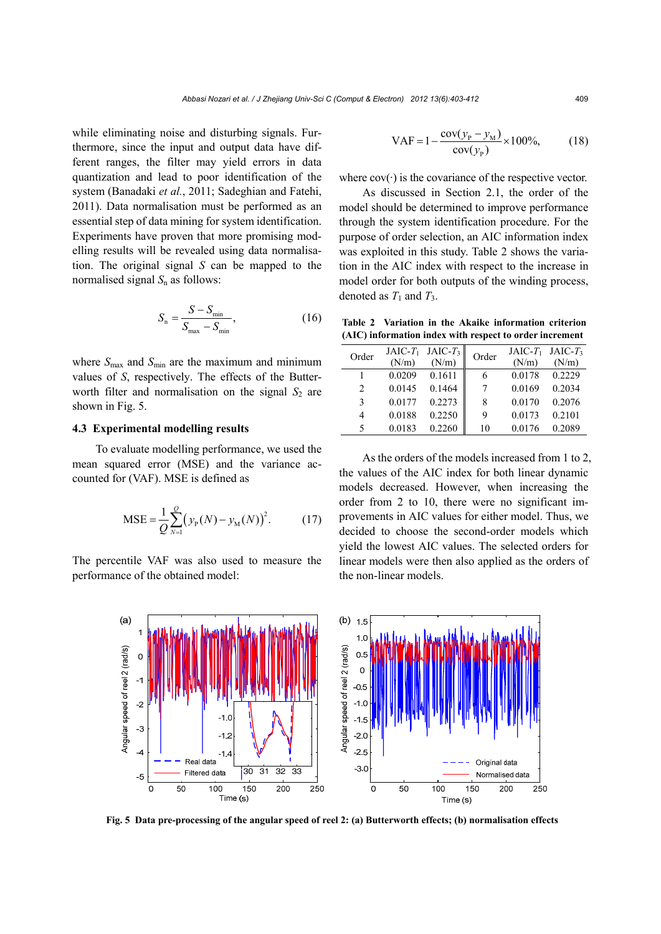while eliminating noise and disturbing signals. Furthermore, since the input and output data have different ranges, the filter may yield errors in data quantization and lead to poor identification of the system (Banadaki *et al.*, 2011; Sadeghian and Fatehi, 2011). Data normalisation must be performed as an essential step of data mining for system identification. Experiments have proven that more promising modelling results will be revealed using data normalisation. The original signal *S* can be mapped to the normalised signal  $S_n$  as follows:

$$
S_{\rm n} = \frac{S - S_{\rm min}}{S_{\rm max} - S_{\rm min}},\tag{16}
$$

where  $S_{\text{max}}$  and  $S_{\text{min}}$  are the maximum and minimum values of *S*, respectively. The effects of the Butterworth filter and normalisation on the signal  $S_2$  are shown in Fig. 5.

#### **4.3 Experimental modelling results**

To evaluate modelling performance, we used the mean squared error (MSE) and the variance accounted for (VAF). MSE is defined as

$$
MSE = \frac{1}{Q} \sum_{N=1}^{Q} (y_{P}(N) - y_{M}(N))^{2}.
$$
 (17)

The percentile VAF was also used to measure the performance of the obtained model:

$$
VAF = 1 - \frac{cov(y_{P} - y_{M})}{cov(y_{P})} \times 100\%,
$$
 (18)

where  $cov(\cdot)$  is the covariance of the respective vector.

As discussed in Section 2.1, the order of the model should be determined to improve performance through the system identification procedure. For the purpose of order selection, an AIC information index was exploited in this study. Table 2 shows the variation in the AIC index with respect to the increase in model order for both outputs of the winding process, denoted as  $T_1$  and  $T_3$ .

**Table 2 Variation in the Akaike information criterion (AIC) information index with respect to order increment**

| Order                         | $JAIC-T_1$<br>(N/m) | $JAIC-T3$<br>(N/m) | Order | (N/m)  | JAIC- $T_1$ JAIC- $T_3$<br>(N/m) |
|-------------------------------|---------------------|--------------------|-------|--------|----------------------------------|
|                               | 0.0209              | 0.1611             | 6     | 0.0178 | 0.2229                           |
| $\mathfrak{D}_{\mathfrak{p}}$ | 0.0145              | 0.1464             | 7     | 0.0169 | 0.2034                           |
| $\mathcal{E}$                 | 0.0177              | 0.2273             | 8     | 0.0170 | 0.2076                           |
| 4                             | 0.0188              | 0.2250             | 9     | 0.0173 | 0.2101                           |
| 5                             | 0.0183              | 0.2260             | 10    | 0.0176 | 0.2089                           |

As the orders of the models increased from 1 to 2, the values of the AIC index for both linear dynamic models decreased. However, when increasing the order from 2 to 10, there were no significant improvements in AIC values for either model. Thus, we decided to choose the second-order models which yield the lowest AIC values. The selected orders for linear models were then also applied as the orders of the non-linear models.



**Fig. 5 Data pre-processing of the angular speed of reel 2: (a) Butterworth effects; (b) normalisation effects**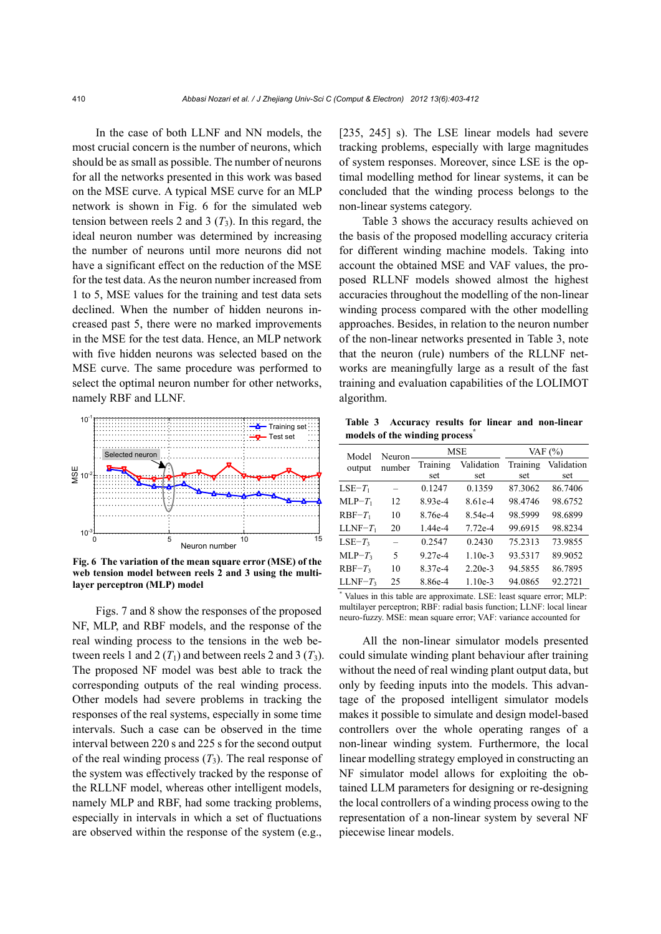In the case of both LLNF and NN models, the most crucial concern is the number of neurons, which should be as small as possible. The number of neurons for all the networks presented in this work was based on the MSE curve. A typical MSE curve for an MLP network is shown in Fig. 6 for the simulated web tension between reels 2 and 3  $(T_3)$ . In this regard, the ideal neuron number was determined by increasing the number of neurons until more neurons did not have a significant effect on the reduction of the MSE for the test data. As the neuron number increased from 1 to 5, MSE values for the training and test data sets declined. When the number of hidden neurons increased past 5, there were no marked improvements in the MSE for the test data. Hence, an MLP network with five hidden neurons was selected based on the MSE curve. The same procedure was performed to select the optimal neuron number for other networks, namely RBF and LLNF.



**Fig. 6 The variation of the mean square error (MSE) of the web tension model between reels 2 and 3 using the multilayer perceptron (MLP) model**

Figs. 7 and 8 show the responses of the proposed NF, MLP, and RBF models, and the response of the real winding process to the tensions in the web between reels 1 and 2  $(T_1)$  and between reels 2 and 3  $(T_3)$ . The proposed NF model was best able to track the corresponding outputs of the real winding process. Other models had severe problems in tracking the responses of the real systems, especially in some time intervals. Such a case can be observed in the time interval between 220 s and 225 s for the second output of the real winding process  $(T_3)$ . The real response of the system was effectively tracked by the response of the RLLNF model, whereas other intelligent models, namely MLP and RBF, had some tracking problems, especially in intervals in which a set of fluctuations are observed within the response of the system (e.g.,

[235, 245] s). The LSE linear models had severe tracking problems, especially with large magnitudes of system responses. Moreover, since LSE is the optimal modelling method for linear systems, it can be concluded that the winding process belongs to the non-linear systems category.

Table 3 shows the accuracy results achieved on the basis of the proposed modelling accuracy criteria for different winding machine models. Taking into account the obtained MSE and VAF values, the proposed RLLNF models showed almost the highest accuracies throughout the modelling of the non-linear winding process compared with the other modelling approaches. Besides, in relation to the neuron number of the non-linear networks presented in Table 3, note that the neuron (rule) numbers of the RLLNF networks are meaningfully large as a result of the fast training and evaluation capabilities of the LOLIMOT algorithm.

**Table 3 Accuracy results for linear and non-linear models of the winding process\***

| Model<br>output | Neuron<br>number | <b>MSE</b> |            | VAF $(%)$ |            |
|-----------------|------------------|------------|------------|-----------|------------|
|                 |                  | Training   | Validation | Training  | Validation |
|                 |                  | set        | set        | set       | set        |
| $LSE-T_1$       |                  | 0.1247     | 0.1359     | 87.3062   | 86.7406    |
| $MLP-T_1$       | 12               | 8.93e-4    | 8.61e-4    | 98.4746   | 98.6752    |
| $RBF-T_1$       | 10               | 8.76e-4    | 8.54e-4    | 98.5999   | 98.6899    |
| $LLNF-T_1$      | 20               | $1.44e-4$  | $7.72e-4$  | 99.6915   | 98.8234    |
| $LSE-T_3$       | $\equiv$         | 0.2547     | 0.2430     | 75.2313   | 73.9855    |
| $MLP-T_3$       | 5                | $9.27e-4$  | $1.10e-3$  | 93.5317   | 89.9052    |
| $RBF-T_3$       | 10               | 8 37e-4    | $2.20e-3$  | 94.5855   | 86.7895    |
| $LLNF-T_3$      | 25               | 8.86e-4    | $1.10e-3$  | 94.0865   | 92.2721    |

\* Values in this table are approximate. LSE: least square error; MLP: multilayer perceptron; RBF: radial basis function; LLNF: local linear neuro-fuzzy. MSE: mean square error; VAF: variance accounted for

All the non-linear simulator models presented could simulate winding plant behaviour after training without the need of real winding plant output data, but only by feeding inputs into the models. This advantage of the proposed intelligent simulator models makes it possible to simulate and design model-based controllers over the whole operating ranges of a non-linear winding system. Furthermore, the local linear modelling strategy employed in constructing an NF simulator model allows for exploiting the obtained LLM parameters for designing or re-designing the local controllers of a winding process owing to the representation of a non-linear system by several NF piecewise linear models.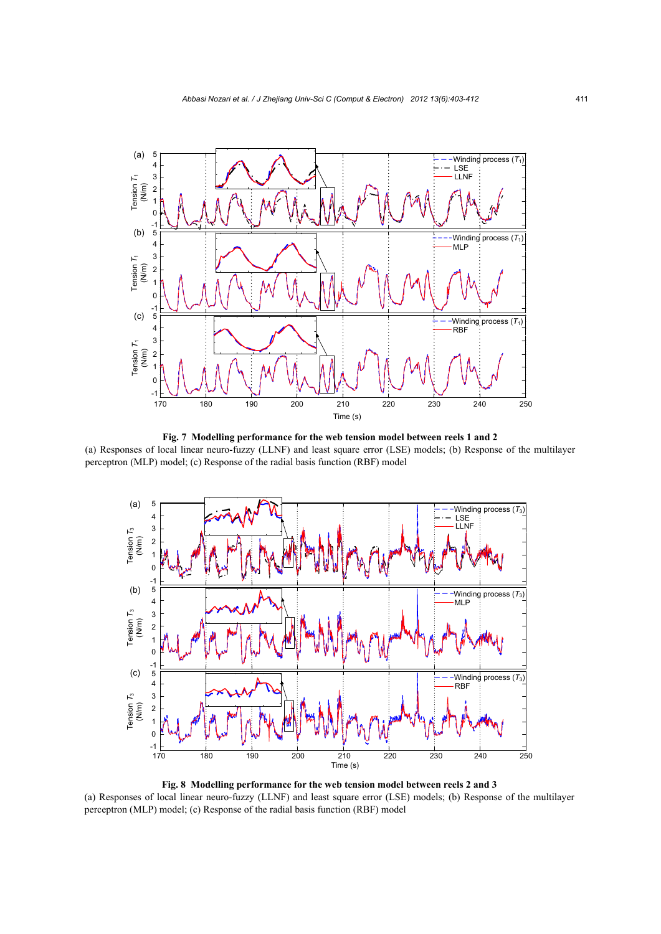

**Fig. 7 Modelling performance for the web tension model between reels 1 and 2**  (a) Responses of local linear neuro-fuzzy (LLNF) and least square error (LSE) models; (b) Response of the multilayer perceptron (MLP) model; (c) Response of the radial basis function (RBF) model



**Fig. 8 Modelling performance for the web tension model between reels 2 and 3**  (a) Responses of local linear neuro-fuzzy (LLNF) and least square error (LSE) models; (b) Response of the multilayer perceptron (MLP) model; (c) Response of the radial basis function (RBF) model